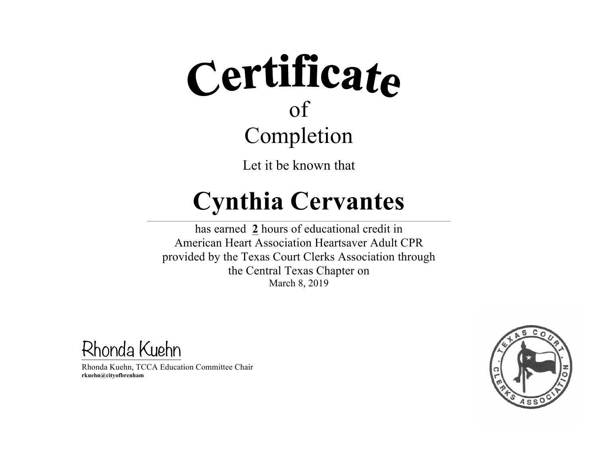Let it be known that

#### **Cynthia Cervantes**

 $\_$  , and the state of the state of the state of the state of the state of the state of the state of the state of the state of the state of the state of the state of the state of the state of the state of the state of the

has earned **2** hours of educational credit in American Heart Association Heartsaver Adult CPR provided by the Texas Court Clerks Association through the Central Texas Chapter on March 8, 2019

Rhonda Kuehn

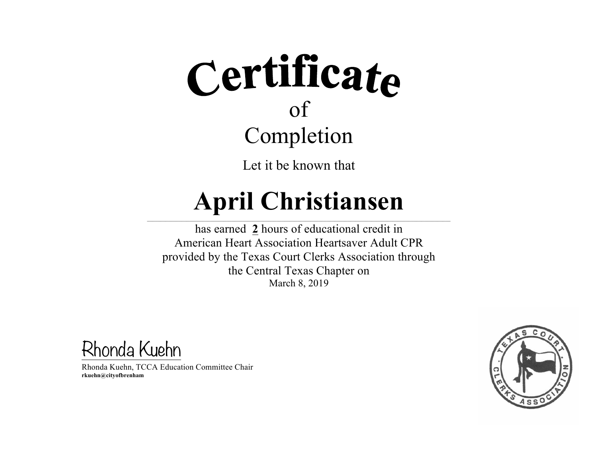Let it be known that

#### **April Christiansen**  $\_$  , and the state of the state of the state of the state of the state of the state of the state of the state of the state of the state of the state of the state of the state of the state of the state of the state of the

has earned **2** hours of educational credit in American Heart Association Heartsaver Adult CPR provided by the Texas Court Clerks Association through the Central Texas Chapter on March 8, 2019

Rhonda Kuehn

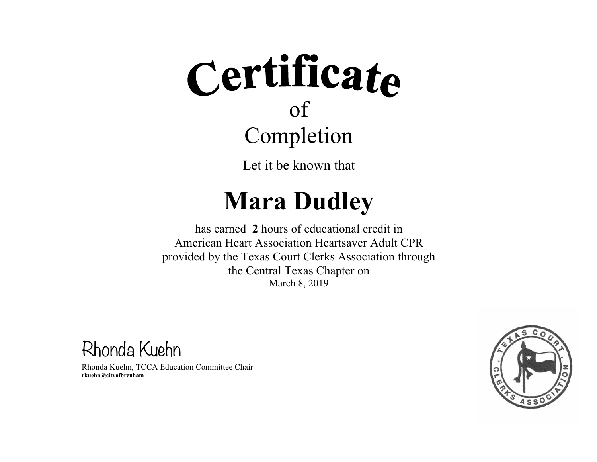Let it be known that

#### **Mara Dudley**

 $\_$  , and the state of the state of the state of the state of the state of the state of the state of the state of the state of the state of the state of the state of the state of the state of the state of the state of the has earned **2** hours of educational credit in American Heart Association Heartsaver Adult CPR provided by the Texas Court Clerks Association through the Central Texas Chapter on March 8, 2019

Rhonda Kuehn

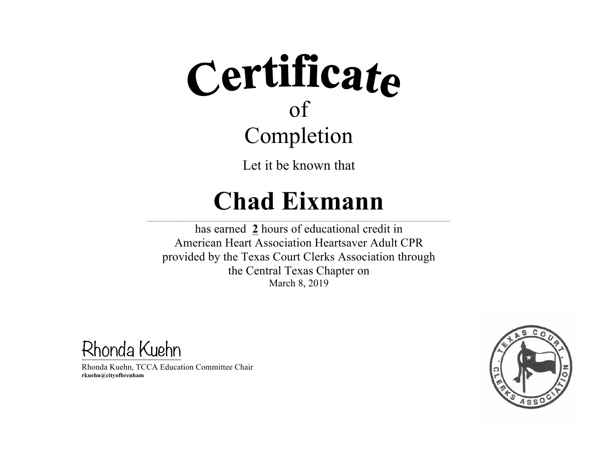Let it be known that

#### **Chad Eixmann**

 $\_$  , and the state of the state of the state of the state of the state of the state of the state of the state of the state of the state of the state of the state of the state of the state of the state of the state of the

has earned **2** hours of educational credit in American Heart Association Heartsaver Adult CPR provided by the Texas Court Clerks Association through the Central Texas Chapter on March 8, 2019

Rhonda Kuehn

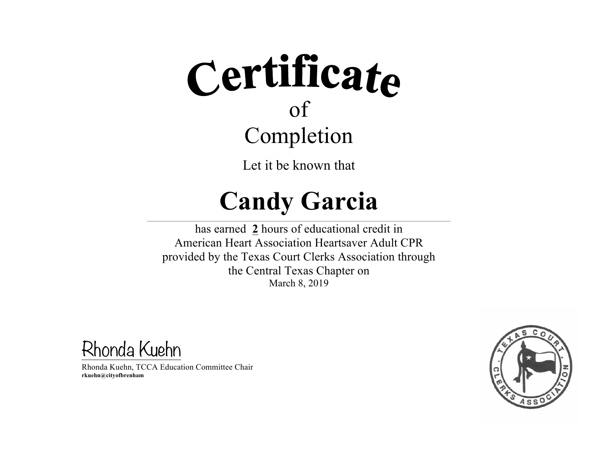Let it be known that

#### **Candy Garcia**

 $\_$  , and the state of the state of the state of the state of the state of the state of the state of the state of the state of the state of the state of the state of the state of the state of the state of the state of the

has earned **2** hours of educational credit in American Heart Association Heartsaver Adult CPR provided by the Texas Court Clerks Association through the Central Texas Chapter on March 8, 2019

Rhonda Kuehn

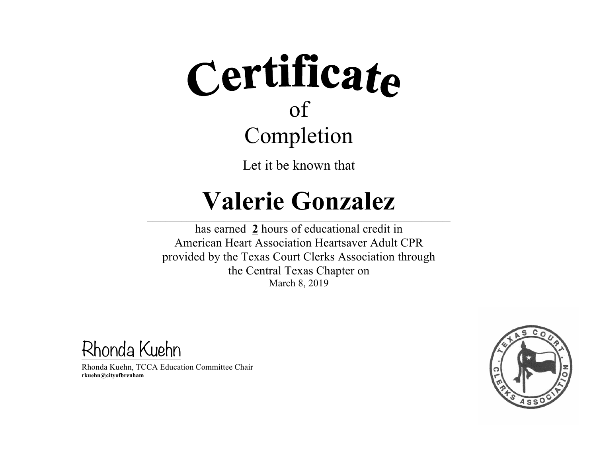Let it be known that

#### **Valerie Gonzalez**

 $\_$  , and the state of the state of the state of the state of the state of the state of the state of the state of the state of the state of the state of the state of the state of the state of the state of the state of the

has earned **2** hours of educational credit in American Heart Association Heartsaver Adult CPR provided by the Texas Court Clerks Association through the Central Texas Chapter on March 8, 2019

Rhonda Kuehn

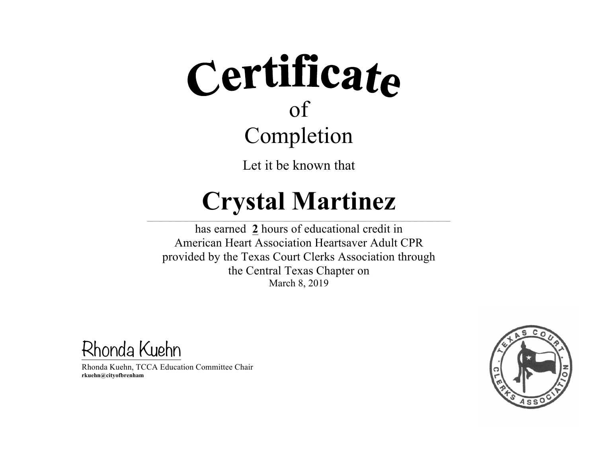Let it be known that

#### **Crystal Martinez**

 $\_$  , and the state of the state of the state of the state of the state of the state of the state of the state of the state of the state of the state of the state of the state of the state of the state of the state of the

has earned **2** hours of educational credit in American Heart Association Heartsaver Adult CPR provided by the Texas Court Clerks Association through the Central Texas Chapter on March 8, 2019

Rhonda Kuehn

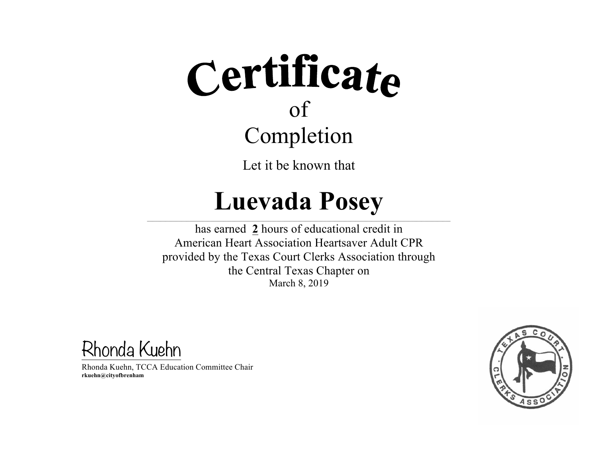Let it be known that

#### **Luevada Posey**

 $\_$  , and the state of the state of the state of the state of the state of the state of the state of the state of the state of the state of the state of the state of the state of the state of the state of the state of the

has earned **2** hours of educational credit in American Heart Association Heartsaver Adult CPR provided by the Texas Court Clerks Association through the Central Texas Chapter on March 8, 2019

Rhonda Kuehn

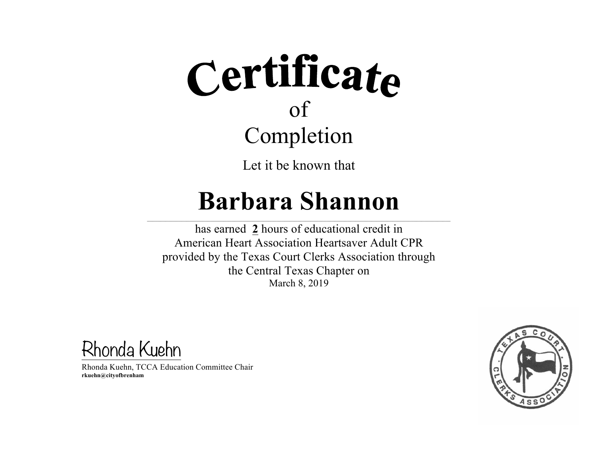Let it be known that

#### **Barbara Shannon**

 $\_$  , and the state of the state of the state of the state of the state of the state of the state of the state of the state of the state of the state of the state of the state of the state of the state of the state of the

has earned **2** hours of educational credit in American Heart Association Heartsaver Adult CPR provided by the Texas Court Clerks Association through the Central Texas Chapter on March 8, 2019

Rhonda Kuehn

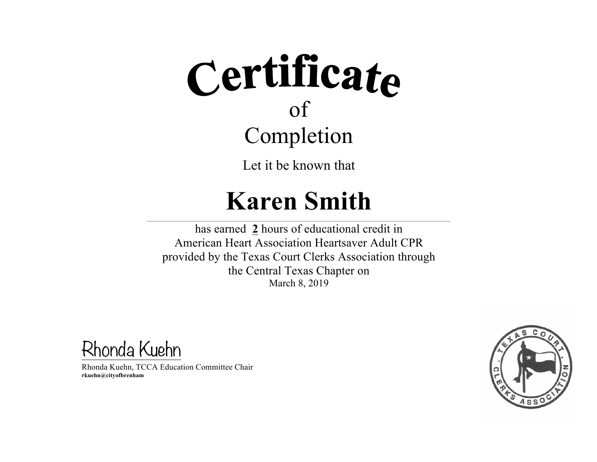Let it be known that

#### **Karen Smith**

 $\_$  , and the state of the state of the state of the state of the state of the state of the state of the state of the state of the state of the state of the state of the state of the state of the state of the state of the

has earned **2** hours of educational credit in American Heart Association Heartsaver Adult CPR provided by the Texas Court Clerks Association through the Central Texas Chapter on March 8, 2019

Rhonda Kuehn